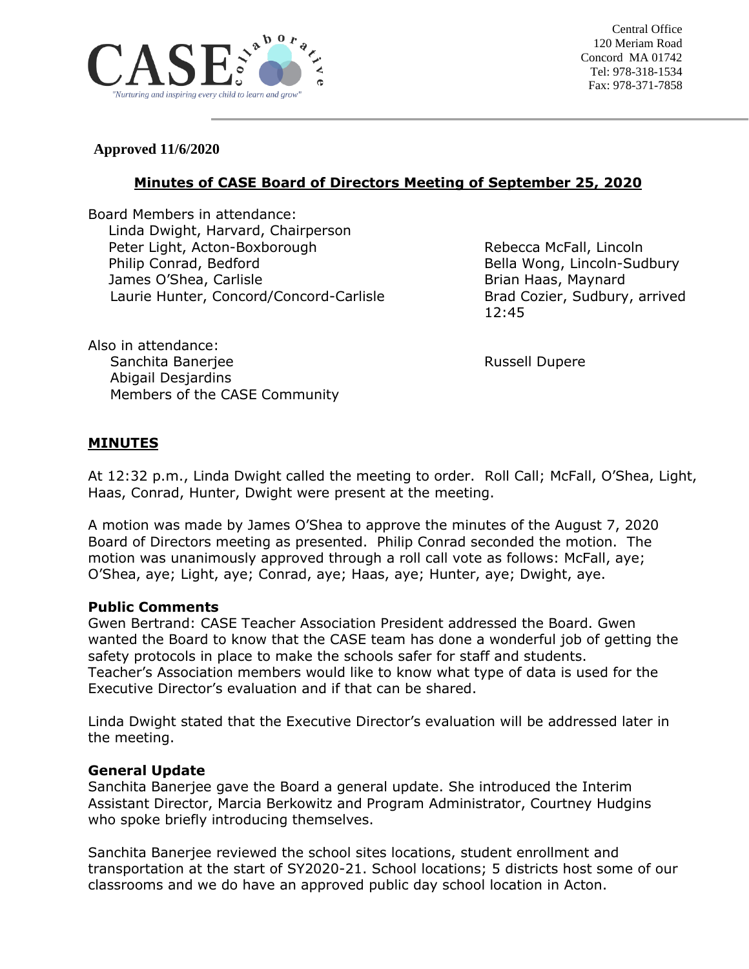

Central Office 120 Meriam Road Concord MA 01742 Tel: 978-318-1534 Fax: 978-371-7858

### **Approved 11/6/2020**

Also in attendance:

Abigail Desjardins

# **Minutes of CASE Board of Directors Meeting of September 25, 2020**

Board Members in attendance: Linda Dwight, Harvard, Chairperson Peter Light, Acton-Boxborough Rebecca McFall, Lincoln Philip Conrad, Bedford **Bella Wong, Lincoln-Sudbury** James O'Shea, Carlisle Brian Haas, Maynard Laurie Hunter, Concord/Concord-Carlisle Brad Cozier, Sudbury, arrived

Members of the CASE Community

12:45

Sanchita Banerjee **Russell Dupere** Russell Dupere

# **MINUTES**

At 12:32 p.m., Linda Dwight called the meeting to order. Roll Call; McFall, O'Shea, Light, Haas, Conrad, Hunter, Dwight were present at the meeting.

A motion was made by James O'Shea to approve the minutes of the August 7, 2020 Board of Directors meeting as presented. Philip Conrad seconded the motion. The motion was unanimously approved through a roll call vote as follows: McFall, aye; O'Shea, aye; Light, aye; Conrad, aye; Haas, aye; Hunter, aye; Dwight, aye.

#### **Public Comments**

Gwen Bertrand: CASE Teacher Association President addressed the Board. Gwen wanted the Board to know that the CASE team has done a wonderful job of getting the safety protocols in place to make the schools safer for staff and students. Teacher's Association members would like to know what type of data is used for the Executive Director's evaluation and if that can be shared.

Linda Dwight stated that the Executive Director's evaluation will be addressed later in the meeting.

#### **General Update**

Sanchita Banerjee gave the Board a general update. She introduced the Interim Assistant Director, Marcia Berkowitz and Program Administrator, Courtney Hudgins who spoke briefly introducing themselves.

Sanchita Banerjee reviewed the school sites locations, student enrollment and transportation at the start of SY2020-21. School locations; 5 districts host some of our classrooms and we do have an approved public day school location in Acton.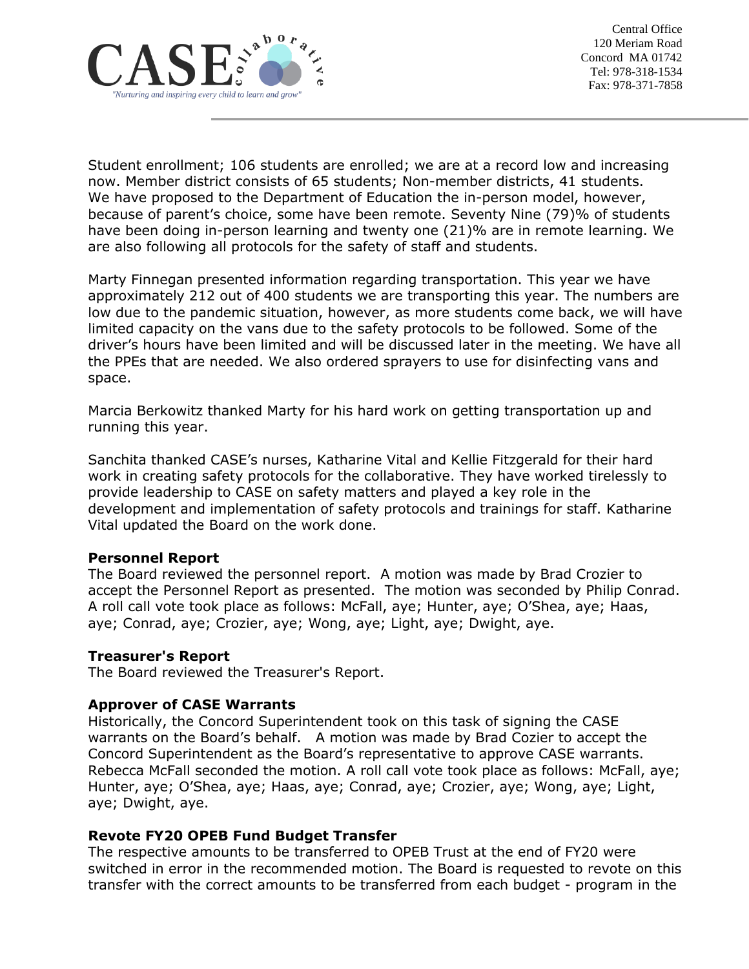

Student enrollment; 106 students are enrolled; we are at a record low and increasing now. Member district consists of 65 students; Non-member districts, 41 students. We have proposed to the Department of Education the in-person model, however, because of parent's choice, some have been remote. Seventy Nine (79)% of students have been doing in-person learning and twenty one (21)% are in remote learning. We are also following all protocols for the safety of staff and students.

Marty Finnegan presented information regarding transportation. This year we have approximately 212 out of 400 students we are transporting this year. The numbers are low due to the pandemic situation, however, as more students come back, we will have limited capacity on the vans due to the safety protocols to be followed. Some of the driver's hours have been limited and will be discussed later in the meeting. We have all the PPEs that are needed. We also ordered sprayers to use for disinfecting vans and space.

Marcia Berkowitz thanked Marty for his hard work on getting transportation up and running this year.

Sanchita thanked CASE's nurses, Katharine Vital and Kellie Fitzgerald for their hard work in creating safety protocols for the collaborative. They have worked tirelessly to provide leadership to CASE on safety matters and played a key role in the development and implementation of safety protocols and trainings for staff. Katharine Vital updated the Board on the work done.

#### **Personnel Report**

The Board reviewed the personnel report. A motion was made by Brad Crozier to accept the Personnel Report as presented. The motion was seconded by Philip Conrad. A roll call vote took place as follows: McFall, aye; Hunter, aye; O'Shea, aye; Haas, aye; Conrad, aye; Crozier, aye; Wong, aye; Light, aye; Dwight, aye.

#### **Treasurer's Report**

The Board reviewed the Treasurer's Report.

#### **Approver of CASE Warrants**

Historically, the Concord Superintendent took on this task of signing the CASE warrants on the Board's behalf. A motion was made by Brad Cozier to accept the Concord Superintendent as the Board's representative to approve CASE warrants. Rebecca McFall seconded the motion. A roll call vote took place as follows: McFall, aye; Hunter, aye; O'Shea, aye; Haas, aye; Conrad, aye; Crozier, aye; Wong, aye; Light, aye; Dwight, aye.

#### **Revote FY20 OPEB Fund Budget Transfer**

The respective amounts to be transferred to OPEB Trust at the end of FY20 were switched in error in the recommended motion. The Board is requested to revote on this transfer with the correct amounts to be transferred from each budget - program in the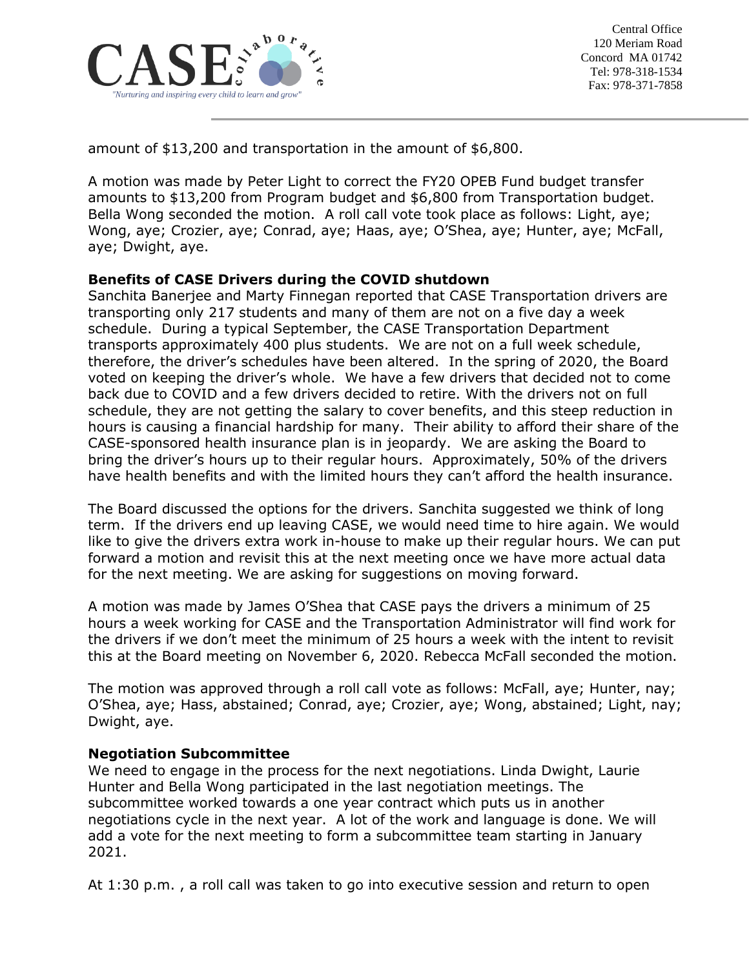

amount of \$13,200 and transportation in the amount of \$6,800.

A motion was made by Peter Light to correct the FY20 OPEB Fund budget transfer amounts to \$13,200 from Program budget and \$6,800 from Transportation budget. Bella Wong seconded the motion. A roll call vote took place as follows: Light, aye; Wong, aye; Crozier, aye; Conrad, aye; Haas, aye; O'Shea, aye; Hunter, aye; McFall, aye; Dwight, aye.

# **Benefits of CASE Drivers during the COVID shutdown**

Sanchita Banerjee and Marty Finnegan reported that CASE Transportation drivers are transporting only 217 students and many of them are not on a five day a week schedule. During a typical September, the CASE Transportation Department transports approximately 400 plus students. We are not on a full week schedule, therefore, the driver's schedules have been altered. In the spring of 2020, the Board voted on keeping the driver's whole. We have a few drivers that decided not to come back due to COVID and a few drivers decided to retire. With the drivers not on full schedule, they are not getting the salary to cover benefits, and this steep reduction in hours is causing a financial hardship for many. Their ability to afford their share of the CASE-sponsored health insurance plan is in jeopardy. We are asking the Board to bring the driver's hours up to their regular hours. Approximately, 50% of the drivers have health benefits and with the limited hours they can't afford the health insurance.

The Board discussed the options for the drivers. Sanchita suggested we think of long term. If the drivers end up leaving CASE, we would need time to hire again. We would like to give the drivers extra work in-house to make up their regular hours. We can put forward a motion and revisit this at the next meeting once we have more actual data for the next meeting. We are asking for suggestions on moving forward.

A motion was made by James O'Shea that CASE pays the drivers a minimum of 25 hours a week working for CASE and the Transportation Administrator will find work for the drivers if we don't meet the minimum of 25 hours a week with the intent to revisit this at the Board meeting on November 6, 2020. Rebecca McFall seconded the motion.

The motion was approved through a roll call vote as follows: McFall, aye; Hunter, nay; O'Shea, aye; Hass, abstained; Conrad, aye; Crozier, aye; Wong, abstained; Light, nay; Dwight, aye.

#### **Negotiation Subcommittee**

We need to engage in the process for the next negotiations. Linda Dwight, Laurie Hunter and Bella Wong participated in the last negotiation meetings. The subcommittee worked towards a one year contract which puts us in another negotiations cycle in the next year. A lot of the work and language is done. We will add a vote for the next meeting to form a subcommittee team starting in January 2021.

At 1:30 p.m. , a roll call was taken to go into executive session and return to open